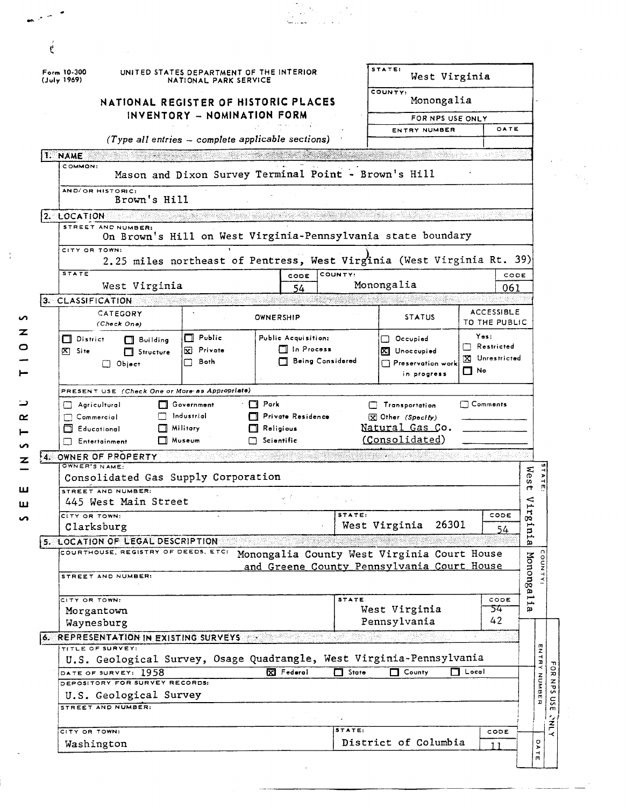| (July 1969)         | Form 10-300                                    | UNITED STATES DEPARTMENT OF THE INTERIOR<br>NATIONAL PARK SERVICE |                                                                        | STATE:<br>West Virginia |                                            |                 |                                     |                       |                        |  |  |  |  |
|---------------------|------------------------------------------------|-------------------------------------------------------------------|------------------------------------------------------------------------|-------------------------|--------------------------------------------|-----------------|-------------------------------------|-----------------------|------------------------|--|--|--|--|
|                     | NATIONAL REGISTER OF HISTORIC PLACES           |                                                                   | COUNTY:<br>Monongalia                                                  |                         |                                            |                 |                                     |                       |                        |  |  |  |  |
|                     |                                                | INVENTORY - NOMINATION FORM                                       |                                                                        | FOR NPS USE ONLY        |                                            |                 |                                     |                       |                        |  |  |  |  |
|                     |                                                |                                                                   |                                                                        | ENTRY NUMBER            |                                            | DATE            |                                     |                       |                        |  |  |  |  |
|                     |                                                |                                                                   | $(Type all entries - complete applicable sections)$                    |                         |                                            |                 |                                     |                       |                        |  |  |  |  |
| 1. NAME<br>COMMON:  |                                                |                                                                   |                                                                        |                         |                                            |                 |                                     |                       |                        |  |  |  |  |
|                     |                                                |                                                                   | Mason and Dixon Survey Terminal Point - Brown's Hill                   |                         |                                            |                 |                                     |                       |                        |  |  |  |  |
|                     | AND/OR HISTORIC:<br>Brown's Hill               |                                                                   |                                                                        |                         |                                            |                 |                                     |                       |                        |  |  |  |  |
| $2.$ LOCATION       |                                                |                                                                   |                                                                        |                         |                                            |                 |                                     |                       |                        |  |  |  |  |
|                     | STREET AND NUMBER:                             |                                                                   | On Brown's Hill on West Virginia-Pennsylvania state boundary           |                         |                                            |                 |                                     |                       |                        |  |  |  |  |
|                     | CITY OR TOWN:                                  |                                                                   |                                                                        |                         |                                            |                 |                                     |                       |                        |  |  |  |  |
|                     |                                                |                                                                   | 2.25 miles northeast of Pentress, West Virginia (West Virginia Rt. 39) |                         |                                            |                 |                                     |                       |                        |  |  |  |  |
| <b>STATE</b>        |                                                |                                                                   | CODE                                                                   | COUNTY:                 |                                            |                 | CODE                                |                       |                        |  |  |  |  |
|                     | West Virginia                                  |                                                                   | 54                                                                     |                         | Monongalia                                 |                 | 061                                 |                       |                        |  |  |  |  |
|                     | 3. CLASSIFICATION<br>CATEGORY                  |                                                                   |                                                                        |                         |                                            |                 | <b>ACCESSIBLE</b>                   |                       |                        |  |  |  |  |
|                     | (Check One)                                    |                                                                   | <b>OWNERSHIP</b>                                                       |                         | <b>STATUS</b>                              |                 | TO THE PUBLIC                       |                       |                        |  |  |  |  |
|                     | $\Box$ District<br>$\Box$ Building             | $\Box$ Public                                                     | Public Acquisition:                                                    |                         | Occupied                                   | Yes:            |                                     |                       |                        |  |  |  |  |
| $ \mathbf{X} $ Site | □ Structure                                    | Private<br>⊠                                                      | $\Box$ In Process                                                      |                         | Unoccupied<br>IΧI                          |                 | $\Box$ Restricted<br>X Unrestricted |                       |                        |  |  |  |  |
|                     | $\Box$ Object                                  | Both                                                              | <b>Being Considered</b>                                                |                         | $\Box$ Preservation work                   | $\Box$ No       |                                     |                       |                        |  |  |  |  |
|                     | in progress                                    |                                                                   |                                                                        |                         |                                            |                 |                                     |                       |                        |  |  |  |  |
|                     | PRESENT USE (Check One or More as Appropriate) |                                                                   |                                                                        |                         |                                            |                 |                                     |                       |                        |  |  |  |  |
|                     | Agricultural<br>$\Box$ Commercial              | □ Government<br>$\Box$ Industrial                                 | $\Box$ Park<br>Private Residence                                       |                         | <b>Transportation</b><br>X Other (Specify) | $\Box$ Comments |                                     |                       |                        |  |  |  |  |
|                     | <b>N</b> Educational                           | $\Box$ Militory                                                   | Religious                                                              |                         | Natural Gas Co.                            |                 |                                     |                       |                        |  |  |  |  |
|                     | $\Box$ Entertainment                           | $\Box$ Museum                                                     | $\Box$ Scientific                                                      |                         | (Consolidated)                             |                 |                                     |                       |                        |  |  |  |  |
|                     | 4. OWNER OF PROPERTY                           |                                                                   |                                                                        |                         |                                            |                 |                                     |                       |                        |  |  |  |  |
|                     | OWNER'S NAME:                                  |                                                                   |                                                                        |                         |                                            |                 |                                     | wes                   | $\vec{r}$              |  |  |  |  |
|                     |                                                |                                                                   |                                                                        |                         |                                            |                 |                                     |                       | 4<br>面                 |  |  |  |  |
|                     | Consolidated Gas Supply Corporation            |                                                                   |                                                                        |                         |                                            |                 |                                     |                       |                        |  |  |  |  |
|                     | STREET AND NUMBER:                             |                                                                   |                                                                        |                         |                                            |                 |                                     | ⊲                     |                        |  |  |  |  |
|                     | 445 West Main Street<br>CITY OR TOWN:          |                                                                   |                                                                        | STATE:                  |                                            |                 | CODE                                | خبر<br>$\mathbf{r}$   |                        |  |  |  |  |
|                     | Clarksburg                                     |                                                                   |                                                                        |                         | 26301<br>West Virginia                     |                 | 54                                  | 0Q.<br>مسر            |                        |  |  |  |  |
|                     | 5. LOCATION OF LEGAL DESCRIPTION               |                                                                   |                                                                        |                         |                                            |                 |                                     | 밈<br>ω                |                        |  |  |  |  |
|                     | COURTHOUSE, REGISTRY OF DEEDS, ETC:            |                                                                   | Monongalia County West Virginia Court House                            |                         |                                            |                 |                                     |                       |                        |  |  |  |  |
|                     |                                                |                                                                   | and Greene County Pennsylvania Court House                             |                         |                                            |                 |                                     |                       |                        |  |  |  |  |
|                     | STREET AND NUMBER:                             |                                                                   |                                                                        |                         |                                            |                 |                                     |                       |                        |  |  |  |  |
|                     | CITY OR TOWN:                                  |                                                                   |                                                                        | <b>STATE</b>            |                                            |                 | CODE                                | Mononga <sub>11</sub> |                        |  |  |  |  |
|                     | Morgantown                                     |                                                                   |                                                                        |                         | West Virginia                              |                 | 54                                  | g,                    |                        |  |  |  |  |
|                     | Waynesburg                                     |                                                                   |                                                                        |                         | Pennsylvania                               |                 | 42                                  |                       |                        |  |  |  |  |
|                     | 6. REPRESENTATION IN EXISTING SURVEYS          |                                                                   |                                                                        |                         |                                            |                 |                                     |                       |                        |  |  |  |  |
|                     | TITLE OF SURVEY:                               |                                                                   | U.S. Geological Survey, Osage Quadrangle, West Virginia-Pennsylvania   |                         |                                            |                 |                                     |                       |                        |  |  |  |  |
|                     | DATE OF SURVEY: 1958                           |                                                                   | X Federal                                                              | $\Box$ State            | П.<br>County                               | $\Box$ Local    |                                     |                       | ENTRY                  |  |  |  |  |
|                     | DEPOSITORY FOR SURVEY RECORDS:                 |                                                                   |                                                                        |                         |                                            |                 |                                     |                       |                        |  |  |  |  |
|                     | U.S. Geological Survey                         |                                                                   |                                                                        |                         |                                            |                 |                                     |                       | NUMBER<br>$\mathsf{S}$ |  |  |  |  |
|                     | STREET AND NUMBER:                             |                                                                   |                                                                        |                         |                                            |                 |                                     |                       | ۰,                     |  |  |  |  |
|                     | CITY OR TOWN:                                  |                                                                   |                                                                        | STATE:                  |                                            |                 | CODE                                |                       | 주                      |  |  |  |  |

 $\frac{3}{4}$ 

 $\mathcal{F}^{\perp}$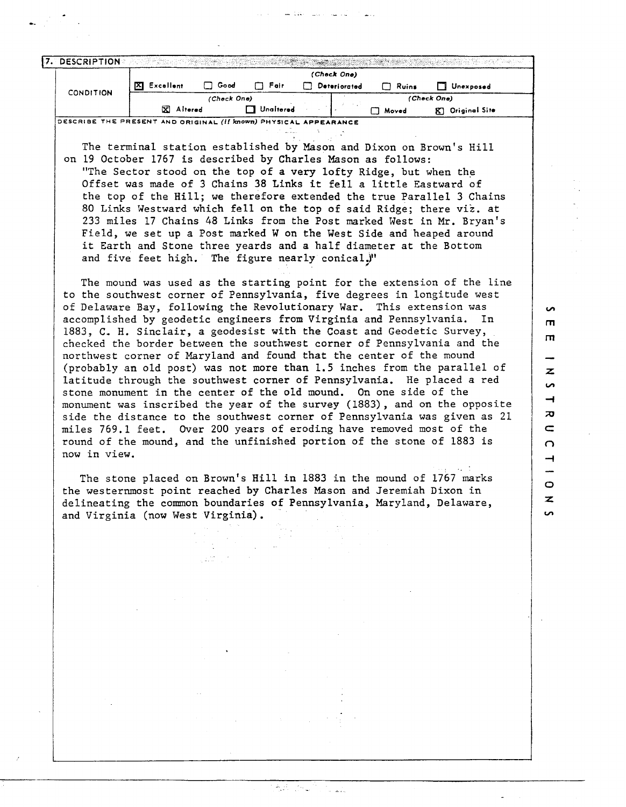|                  |    | (Check One) |        |                  |   |              |              |                     |  |  |
|------------------|----|-------------|--------|------------------|---|--------------|--------------|---------------------|--|--|
| <b>CONDITION</b> | IЮ | Excellent   | □ Good | $\Box$ Fair      | П | Deteriorated | Ruins<br>L.L | Unexposed           |  |  |
|                  |    | (Check One) |        |                  |   |              | (Check One)  |                     |  |  |
|                  |    | X Altered   |        | $\Box$ Unaitered |   |              | Moved        | Original Site<br>R. |  |  |

The terminal station established by Mason and Dixon on Brown's Hill on 19 October 1767 is described by Charles Mason as follows: "The Sector stood on the top of a very lofty Ridge, but when the Offset was made of 3 Chains 38 Links it fell a little Eastward of the top of the Hill; we therefore extended the true Parallel 3 Chains 80 Links Westward which fell on the top of said Ridge; there viz. at 233 miles 17 Chains 48 Links from the Post marked West in Mr. Bryan's Field, we set up a Post marked W on the West Side and heaped around it Earth and Stone three yeards and a half diameter at the Bottom and five feet high. The figure nearly conical.)"

The mound was used as the starting point for the extension of the line to the southwest corner of Pennsylvania, five degrees in longitude west of Delaware Bay, following the Revolutionary War. This extension was accomplished by geodetic engineers from Virginia and Pennsylvania. In 1883, C, H. Sinclair, a geodesist with the Coast and Geodetic Survey, checked the border between the southwest corner of Pennsylvania and the northwest corner of Maryland and found that the center of the mound (probably an old post) was not more than 1.5 inches from the parallel of latitude through the southwest corner of Pennsylvania. He placed a red stone monument in the center of the old mound. On one side of the monument was inscribed the year of the survey (1883), and on the opposite side the distance to the southwest corner of Pennsylvania was given as 21 miles 769.1 feet. Over 200 years of eroding have removed most of the round of the mound, and the unfinished portion of the stone of 1883 is now in view.

 $\sim$  $\mathbf{\mathsf{m}}$  $\mathbf{m}$ 

z s,  $\rightarrow$  $\overline{\mathbf{x}}$  $\equiv$  $\Omega$  $\overline{\phantom{0}}$ 

 $\circ$  $\mathbf{z}$ **S** 

The stone placed on Brown's Hill in 1883 in the mound of 1767 marks the westernmost point reached by Charles Mason and Jeremiah Dixon in delineating the common boundaries of Pennsylvania, Maryland, Delaware, and Virginia (now West Virginia).

 $\pm 27$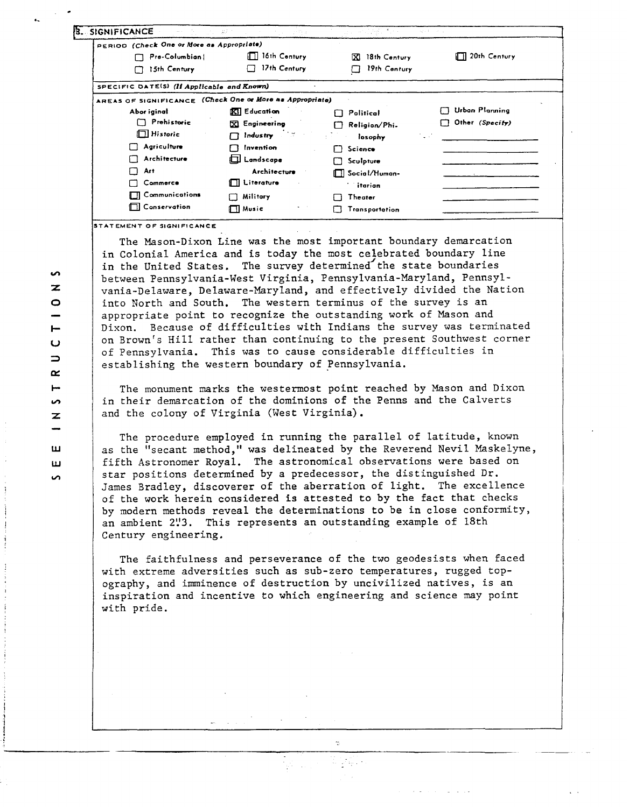| <b>SIGNIFICANCE</b><br>والمقترب والرواز                  |                        | an Shingh North                          | 安定 いえい              |
|----------------------------------------------------------|------------------------|------------------------------------------|---------------------|
| PERIOD (Check One or More as Appropriate)                |                        |                                          |                     |
| Pre-Columbian                                            | $\Box$ 16th Century    | 18th Century<br>K.                       | $\Box$ 20th Century |
| 15th Century<br>П                                        | 17th Century           | 19th Century                             |                     |
| SPECIFIC DATE(S) (If Applicable and Known)               |                        |                                          |                     |
| AREAS OF SIGNIFICANCE (Check One or More as Appropriate) |                        |                                          |                     |
| Abor iginal                                              | $\mathbb{R}$ Education | Political<br>i l                         | Urban Planning      |
| $\Box$ Prehistoric                                       | X Engineering          | Religion/Phi.                            | Other (Specify)     |
| $\Box$ Historic                                          | Industry               | losophy<br>$\mathbf{z} = \mathbf{z}_1$ . |                     |
| Agriculture<br>LΙ                                        | Invention              | Science<br>. .                           |                     |
| Architecture<br>1 I                                      | <b>El Landscape</b>    | Sculpture<br>LJ.                         |                     |
| П<br>Art                                                 | Architecture           | ∏∏ Social/Human-                         |                     |
| Commerce<br>ŁΙ                                           | $\Box$ Literature      | itarian                                  |                     |
| <b>TTI</b> Communications                                | Military               | Theater                                  |                     |
| <b>N</b> Conservation                                    | ∏∏ Music               | <b>Transportation</b>                    |                     |

STATEMENT OF SIGNIFICANCE

The Mason-Dixon Line was the most important boundary demarcation in Colonial America and is today the most celebrated boundary line in the United States. The survey determined the state boundaries between Pennsylvania-West Virginia, Pennsylvania-Maryland, Pennsylvania-Delaware, Delaware-Maryland, and effectively divided the Nation into North and South. The western terminus of the survey is an appropriate point to recognize the outstanding work of Mason and Dixon. Because of difficulties with Indians the survey was terminated on Brown's Hill rather than continuing to the present Southwest corner of Pennsylvania. This was to cause considerable difficulties in establishing the western boundary of Pennsylvania.

The monument marks the westermost point reached by Mason and Dixon in their demarcation of the dominions of the Penns and the Calverts and the colony of Virginia (West Virginia).

The procedure employed in running the parallel of latitude, known as the "secant method," was delineated by the Reverend Nevil Maskelyne, fifth Astronomer Royal. The astronomical observations were based on star positions determined by a predecessor, the distinguished Dr. James Bradley, discoverer of the aberration of light. The excellence of the work herein considered is attested to by the fact that checks by modern methods reveal the determinations to be in close conformity, an ambient 2!'3. This represents an outstanding example of 18th Century engineering.

The faithfulness and perseverance of the two geodesists when faced with extreme adversities such as sub-zero temperatures, rugged topography, and imminence of destruction by uncivilized natives, is an inspiration and incentive to which engineering and science may point with pride.

15.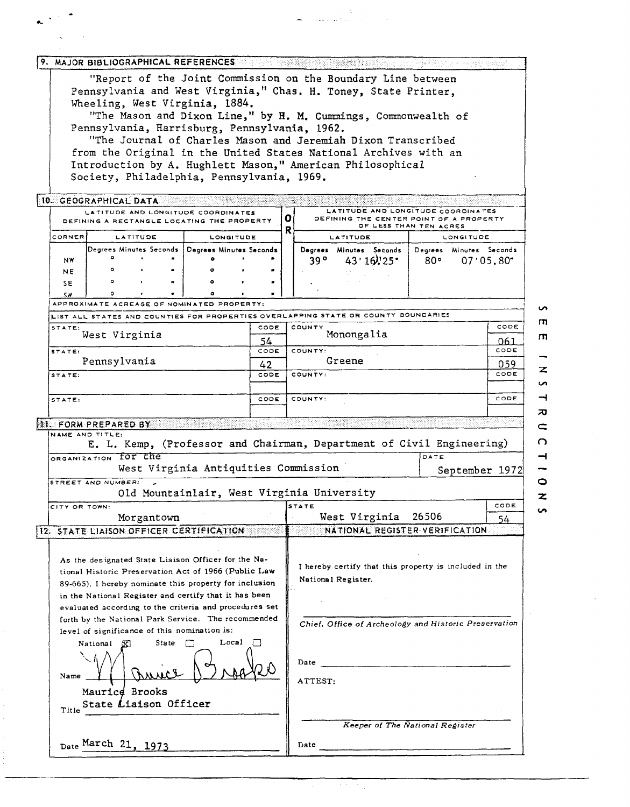|                             |                                                                                                                                                                        |            |              | Wheeling, West Virginia, 1884.                                                   |            |                        |                                                                              | 9. MAJOR BIBLIOGRAPHICAL REFERENCES TO a service and service state of the service and service and<br>"Report of the Joint Commission on the Boundary Line between<br>Pennsylvania and West Virginia," Chas. H. Toney, State Printer, |             |                         |           |  |
|-----------------------------|------------------------------------------------------------------------------------------------------------------------------------------------------------------------|------------|--------------|----------------------------------------------------------------------------------|------------|------------------------|------------------------------------------------------------------------------|--------------------------------------------------------------------------------------------------------------------------------------------------------------------------------------------------------------------------------------|-------------|-------------------------|-----------|--|
|                             |                                                                                                                                                                        |            |              | Pennsylvania, Harrisburg, Pennsylvania, 1962.                                    |            |                        |                                                                              | "The Mason and Dixon Line," by H. M. Cummings, Commonwealth of                                                                                                                                                                       |             |                         |           |  |
|                             |                                                                                                                                                                        |            |              | Society, Philadelphia, Pennsylvania, 1969.                                       |            |                        |                                                                              | "The Journal of Charles Mason and Jeremiah Dixon Transcribed<br>from the Original in the United States National Archives with an<br>Introduction by A. Hughlett Mason," American Philosophical                                       |             |                         |           |  |
| 10. GEOGRAPHICAL DATA       |                                                                                                                                                                        |            |              | LATITUDE AND LONGITUDE COORDINATES<br>DEFINING A RECTANGLE LOCATING THE PROPERTY |            | 0<br>R                 |                                                                              | LATITUDE AND LONGITUDE COORDINATES<br>DEFINING THE CENTER POINT OF A PROPERTY<br>OF LESS THAN TEN ACRES                                                                                                                              |             |                         |           |  |
| CORNER                      |                                                                                                                                                                        | LATITUDE   |              | <b>LONGITUDE</b>                                                                 |            |                        |                                                                              | LATITUDE                                                                                                                                                                                                                             |             | LONGITUDE               |           |  |
| NW<br><b>NE</b>             |                                                                                                                                                                        |            |              | Degrees Minutes Seconds   Degrees Minutes Seconds<br>۰                           |            |                        | 39 °                                                                         | Degrees Minutes Seconds<br>43'16'25                                                                                                                                                                                                  | 80°         | Degrees Minutes Seconds | 07'05.80" |  |
| SE<br>5W                    |                                                                                                                                                                        |            |              | ٥<br>APPROXIMATE ACREAGE OF NOMINATED PROPERTY:                                  |            |                        |                                                                              |                                                                                                                                                                                                                                      |             |                         |           |  |
|                             |                                                                                                                                                                        |            |              |                                                                                  |            |                        |                                                                              | LIST ALL STATES AND COUNTIES FOR PROPERTIES OVERLAPPING STATE OR COUNTY BOUNDARIES                                                                                                                                                   |             |                         |           |  |
| STATE:                      |                                                                                                                                                                        |            |              |                                                                                  | CODE       |                        | COUNTY                                                                       |                                                                                                                                                                                                                                      |             |                         | CODE      |  |
|                             | West Virginia                                                                                                                                                          |            |              |                                                                                  | 54         |                        | Monongalia                                                                   |                                                                                                                                                                                                                                      |             |                         | 061       |  |
| STATE:                      | Pennsylvania                                                                                                                                                           |            |              |                                                                                  | CODE       |                        | COUNTY:<br>Greene                                                            |                                                                                                                                                                                                                                      | CODE        |                         |           |  |
| STATE:                      |                                                                                                                                                                        |            |              |                                                                                  | 42<br>CODE |                        | COUNTY:                                                                      |                                                                                                                                                                                                                                      | 059<br>CODE |                         |           |  |
| STATE:                      |                                                                                                                                                                        |            |              |                                                                                  | CODE       |                        | COUNTY:                                                                      |                                                                                                                                                                                                                                      |             |                         |           |  |
| <b>NI. FORM PREPARED BY</b> |                                                                                                                                                                        |            |              |                                                                                  |            |                        |                                                                              |                                                                                                                                                                                                                                      |             |                         |           |  |
|                             | NAME AND TITLE:                                                                                                                                                        |            |              |                                                                                  |            |                        |                                                                              | E. L. Kemp, (Professor and Chairman, Department of Civil Engineering)                                                                                                                                                                |             |                         |           |  |
|                             | ORGANIZATION FOT the                                                                                                                                                   |            |              | West Virginia Antiquities Commission                                             |            |                        |                                                                              |                                                                                                                                                                                                                                      | DATE        | September 1972          |           |  |
|                             | STREET AND NUMBER:                                                                                                                                                     |            |              | Old Mountainlair, West Virginia University                                       |            |                        |                                                                              |                                                                                                                                                                                                                                      |             |                         |           |  |
| CITY OR TOWN:               |                                                                                                                                                                        |            |              |                                                                                  |            |                        | <b>STATE</b>                                                                 |                                                                                                                                                                                                                                      |             |                         | CODE      |  |
|                             |                                                                                                                                                                        | Morgantown |              |                                                                                  |            | West Virginia<br>26506 |                                                                              |                                                                                                                                                                                                                                      |             |                         | 54.       |  |
|                             |                                                                                                                                                                        |            |              | 12. STATE LIAISON OFFICER CERTIFICATION                                          |            |                        |                                                                              | NATIONAL REGISTER VERIFICATION.                                                                                                                                                                                                      |             |                         |           |  |
|                             | As the designated State Liaison Officer for the Na-<br>tional Historic Preservation Act of 1966 (Public Law<br>89-665), I hereby nominate this property for inclusion  |            |              |                                                                                  |            |                        | I hereby certify that this property is included in the<br>National Register. |                                                                                                                                                                                                                                      |             |                         |           |  |
|                             | in the National Register and certify that it has been<br>evaluated according to the criteria and procedures set<br>forth by the National Park Service. The recommended |            |              |                                                                                  |            |                        |                                                                              |                                                                                                                                                                                                                                      |             |                         |           |  |
|                             | National<br>x                                                                                                                                                          |            | <b>State</b> | level of significance of this nomination is:<br>Local                            |            |                        |                                                                              | Chief, Office of Archeology and Historic Preservation                                                                                                                                                                                |             |                         |           |  |
| Name                        |                                                                                                                                                                        |            |              |                                                                                  |            |                        | Date<br>ATTEST:                                                              |                                                                                                                                                                                                                                      |             |                         |           |  |
|                             | Maurice Brooks<br>State Liaison Officer                                                                                                                                |            |              |                                                                                  |            |                        |                                                                              |                                                                                                                                                                                                                                      |             |                         |           |  |
| Title                       |                                                                                                                                                                        |            |              |                                                                                  |            |                        |                                                                              | Keeper of The National Register                                                                                                                                                                                                      |             |                         |           |  |
|                             | Date March 21, 1973                                                                                                                                                    |            |              |                                                                                  |            |                        | Date                                                                         |                                                                                                                                                                                                                                      |             |                         |           |  |

ي.<br>منابع معد

 $\bullet$  $\overline{m}$  $\overline{\mathsf{m}}$ - $\overline{\mathbf{z}}$  $\overline{a}$  $\rightarrow$  $\boldsymbol{\pi}$  $\subset$  $\overline{O}$  $\rightarrow$ - $\circ$  $\overline{\mathbf{z}}$  $\overline{v}$ 

į,

k.

 $\overline{\mathcal{A}}$  $\bar{z}$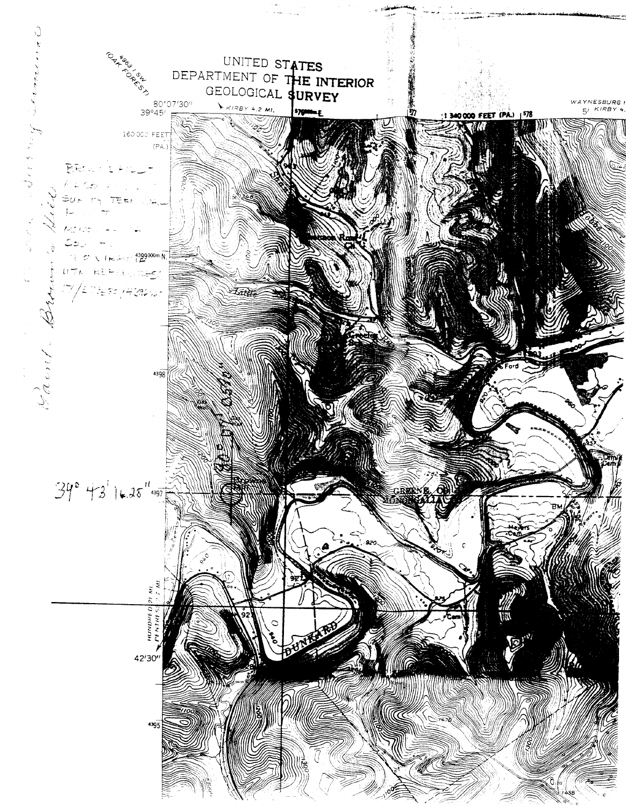